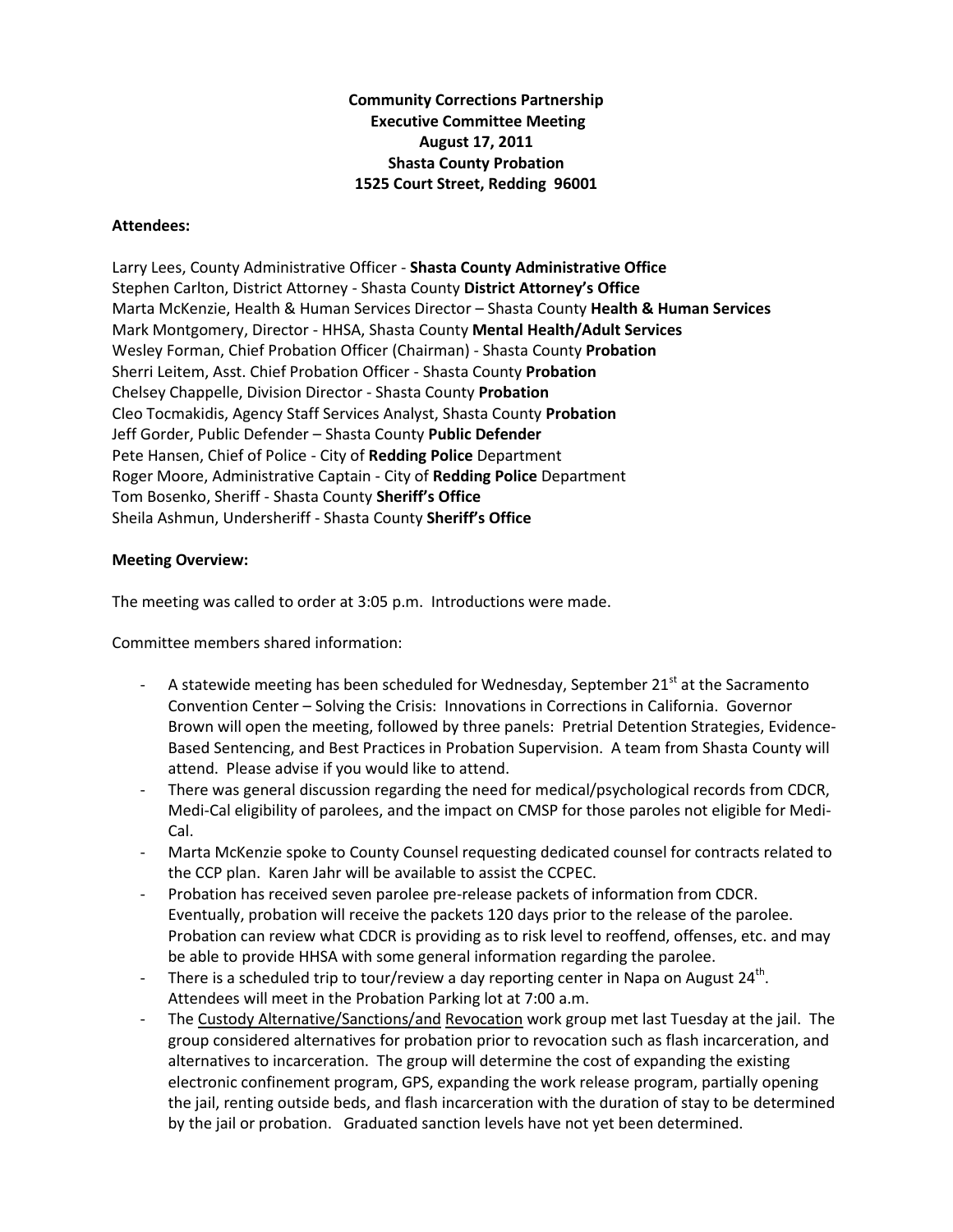**Community Corrections Partnership Executive Committee Meeting August 17, 2011 Shasta County Probation 1525 Court Street, Redding 96001**

## **Attendees:**

Larry Lees, County Administrative Officer - **Shasta County Administrative Office** Stephen Carlton, District Attorney - Shasta County **District Attorney's Office** Marta McKenzie, Health & Human Services Director – Shasta County **Health & Human Services** Mark Montgomery, Director - HHSA, Shasta County **Mental Health/Adult Services** Wesley Forman, Chief Probation Officer (Chairman) - Shasta County **Probation** Sherri Leitem, Asst. Chief Probation Officer - Shasta County **Probation** Chelsey Chappelle, Division Director - Shasta County **Probation** Cleo Tocmakidis, Agency Staff Services Analyst, Shasta County **Probation** Jeff Gorder, Public Defender – Shasta County **Public Defender** Pete Hansen, Chief of Police - City of **Redding Police** Department Roger Moore, Administrative Captain - City of **Redding Police** Department Tom Bosenko, Sheriff - Shasta County **Sheriff's Office** Sheila Ashmun, Undersheriff - Shasta County **Sheriff's Office**

## **Meeting Overview:**

The meeting was called to order at 3:05 p.m. Introductions were made.

Committee members shared information:

- A statewide meeting has been scheduled for Wednesday, September  $21<sup>st</sup>$  at the Sacramento Convention Center – Solving the Crisis: Innovations in Corrections in California. Governor Brown will open the meeting, followed by three panels: Pretrial Detention Strategies, Evidence-Based Sentencing, and Best Practices in Probation Supervision. A team from Shasta County will attend. Please advise if you would like to attend.
- There was general discussion regarding the need for medical/psychological records from CDCR, Medi-Cal eligibility of parolees, and the impact on CMSP for those paroles not eligible for Medi-Cal.
- Marta McKenzie spoke to County Counsel requesting dedicated counsel for contracts related to the CCP plan. Karen Jahr will be available to assist the CCPEC.
- Probation has received seven parolee pre-release packets of information from CDCR. Eventually, probation will receive the packets 120 days prior to the release of the parolee. Probation can review what CDCR is providing as to risk level to reoffend, offenses, etc. and may be able to provide HHSA with some general information regarding the parolee.
- There is a scheduled trip to tour/review a day reporting center in Napa on August 24<sup>th</sup>. Attendees will meet in the Probation Parking lot at 7:00 a.m.
- The Custody Alternative/Sanctions/and Revocation work group met last Tuesday at the jail. The group considered alternatives for probation prior to revocation such as flash incarceration, and alternatives to incarceration. The group will determine the cost of expanding the existing electronic confinement program, GPS, expanding the work release program, partially opening the jail, renting outside beds, and flash incarceration with the duration of stay to be determined by the jail or probation. Graduated sanction levels have not yet been determined.